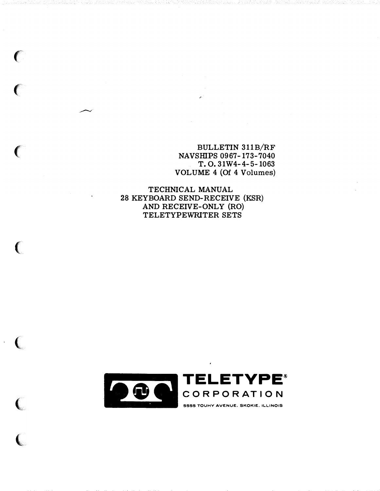BULLETIN 311B/RF NAVSHIPS 0967-173-7040 T. 0. 31W4-4-5-1063 VOLUME 4 (Of 4 Volumes)

TECHNICAL MANUAL 28 KEYBOARD SEND-RECEIVE (KSR) AND RECEIVE-ONLY (RO) TELETYPEWRITER SETS

 $\big($ 

 $\big($ 

---.r

 $\big($ 

 $\epsilon$ 

 $\sqrt{2}$ 

 $\big($ 

 $\big($ 

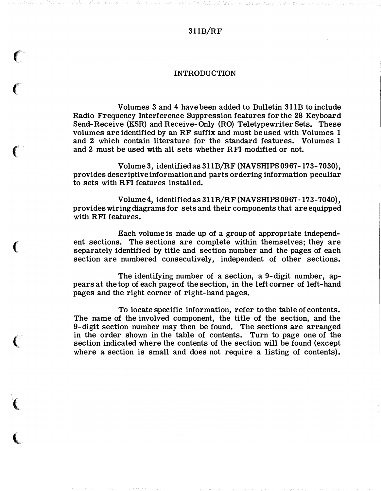## 311B/RF

## INTRODUCTION

 $\epsilon$ 

 $\big($ 

'

 $\big($ 

 $\big($ 

 $\big($ 

i **Windows** 

Volumes 3 and 4 have been added to Bulletin 311B to include Radio Frequency Interference Suppression features for the 28 Keyboard Send-Receive (KSR) and Receive-Only (RO) Teletypewriter Sets. These volumes are identified by an RF suffix and must be used with Volumes 1 and 2 which contain literature for the standard features. Volumes 1 and 2 must be used with all sets whether RFI modified or not.

Volume 3, identified as 311B/RF (NAVSHIPS 0967-173-7030), provides descriptive information and parts ordering information peculiar to sets with RFI features installed.

Volume 4, identified as 311B/RF (NAVSHIPS 0967-173-7040), provides wiring diagrams for sets and their components that are equipped with RFI features.

Each volume is made up of a group of appropriate independent sections. The sections are complete within themselves; they are separately identified by title and section number and the pages of each section are numbered consecutively, independent of other sections.

The identifying number of a section, a 9-digit number, appears at the top of each page of the section, in the left corner of left-hand pages and the right corner of right-hand pages.

To locate specific information, refer to the table of contents. The name of the involved component, the title of the section, and the 9-digit section number may then be found. The sections are arranged in the order shown in the table of contents. Turn to page one of the section indicated where the contents of the section will be found (except where a section is small and does not require a listing of contents).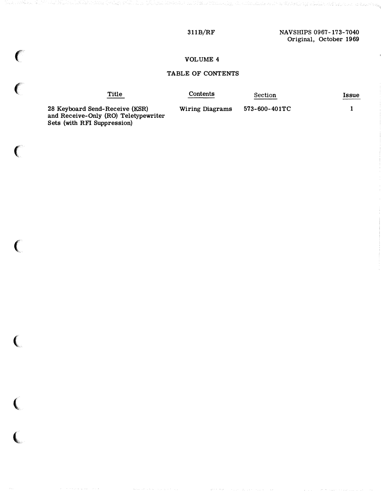### 311B/RF

## VOLUME 4

## TABLE OF CONTENTS

| Title | Contents | Section | <b>1SSUe</b> |
|-------|----------|---------|--------------|
|       |          |         |              |

28 Keyboard Send-Receive (KSR) and Receive-Only (RO) Teletypewriter Sets (with RFI Suppression)

 $\big($ 

 $\big($ 

 $\big($ 

 $\big($ 

 $\big($ 

 $\overline{\mathbf{C}}$ 

Wiring Diagrams 573-600-401TC 1

นข้ามสมาขณะประเทศสม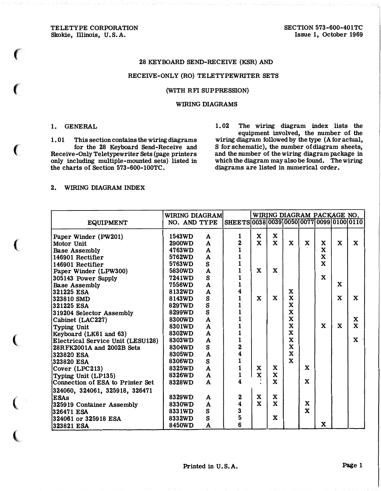TELETYPE CORPORATION Skokie, Illinois, U.S.A.

### 28 KEYBOARD SEND-RECEIVE (KSR) AND

### RECEIVE-ONLY (RO) TELETYPEWRITER SETS

#### (WITH RFI SUPPRESSION)

#### WIRING DIAGRAMS

### 1. GENERAL

**Contract Contract Contract Contract Contract** 

1. 01 This section contains the wiring diagrams for the 28 Keyboard Send-Receive and Receive-Only Teletypewriter Sets (page printers only including multiple-mounted sets) listed in the charts of Section 573-600-100TC.

1. 02 The wiring diagram index lists the equipment involved, the number of the wiring diagram followed by the type (A for actual, S for schematic), the number of diagram sheets, and the number of the wiring diagram package in which the diagram may also be found. The wiring diagrams are listed in numerical order.

### 2. WIRING DIAGRAM INDEX

| <b>EQUIPMENT</b>                  | <b>WIRING DIAGRAM</b><br>NO. AND TYPE |              | SHEETS 0038 0039 0050 0077 0099 0100 0110 |              |              |              |              | WIRING DIAGRAM PACKAGE NO. |             |             |
|-----------------------------------|---------------------------------------|--------------|-------------------------------------------|--------------|--------------|--------------|--------------|----------------------------|-------------|-------------|
|                                   |                                       |              |                                           |              |              |              |              |                            |             |             |
| Paper Winder (PW201)              | 1543WD                                | A            | 1                                         | X            | $\mathbf{x}$ |              |              |                            |             |             |
| Motor Unit                        | <b>2900WD</b>                         | $\mathbf{A}$ | 2                                         | $\mathbf{x}$ | $\mathbf{x}$ | $\mathbf{x}$ | X            | X                          | $\mathbf x$ | $\mathbf x$ |
| <b>Base Assembly</b>              | 4763WD                                | $\mathbf{A}$ | 1                                         |              |              |              |              | $\mathbf x$                |             |             |
| 146901 Rectifier                  | 5762WD                                | $\mathbf{A}$ |                                           |              |              |              |              | $\mathbf x$                |             |             |
| 146901 Rectifier                  | 5763WD                                | S            |                                           |              |              |              |              | $\mathbf x$                |             |             |
| Paper Winder (LPW300)             | 5830WD                                | $\mathbf{A}$ | 1                                         | $\mathbf{x}$ | $\mathbf x$  |              |              |                            |             |             |
| 305143 Power Supply               | 7241WD                                | S.           | 1                                         |              |              |              |              | $\mathbf x$                |             |             |
| <b>Base Assembly</b>              | 7556WD                                | $\mathbf{A}$ | 1                                         |              |              |              |              |                            | X           |             |
| 321225 ESA                        | 8132WD                                | $\mathbf{A}$ | 4                                         |              |              | X            |              |                            |             |             |
| 323810 SMD                        | 8143WD                                | S            | 1                                         | $\mathbf{x}$ | X            | $\mathbf x$  |              |                            | $\mathbf x$ | $\mathbf x$ |
| 321225 ESA                        | 8297WD                                | S            |                                           |              |              | $\mathbf x$  |              |                            |             |             |
| 319204 Selector Assembly          | 8299WD                                | S            | $\mathbf{1}$                              |              |              | $\mathbf x$  |              |                            |             |             |
| Cabinet (LAC227)                  | 8300WD                                | $\mathbf{A}$ |                                           |              |              | $\mathbf x$  |              |                            |             | X           |
| Typing Unit                       | 8301WD                                | $\mathbf{A}$ |                                           |              |              | $\mathbf x$  |              | X                          | $\mathbf x$ | $\mathbf x$ |
| Keyboard (LK61 and 63)            | 8302WD                                | $\mathbf{A}$ |                                           |              |              | $\mathbf x$  |              |                            |             |             |
| Electrical Service Unit (LESU128) | 8303WD                                | $\mathbf{A}$ | $\mathbf{1}$                              |              |              | $\mathbf x$  |              |                            |             | $\mathbf x$ |
| 28RFK2001A and 2002B Sets         | 8304WD                                | S            | $\overline{\mathbf{2}}$                   |              |              | X            |              |                            |             |             |
| 323820 ESA                        | 8305WD                                | $\mathbf{A}$ | 4                                         |              |              | $\mathbf{x}$ |              |                            |             |             |
| 1323820 ESA                       | 8306WD                                | S            | $\mathbf{1}$                              |              |              | X            |              |                            |             |             |
| Cover (LPC213)                    | 8325WD                                | $\mathbf{A}$ | $\mathbf{1}$                              | X            | X            |              | $\mathbf{x}$ |                            |             |             |
| Typing Unit (LP135)               | 8326WD                                | $\mathbf{A}$ | 1                                         | $\mathbf x$  | X            |              |              |                            |             |             |
| Connection of ESA to Printer Set  | 8328WD                                | $\mathbf{A}$ | 4                                         |              | $\mathbf{x}$ |              | $\mathbf{x}$ |                            |             |             |
| 324060, 324061, 325918, 326471    |                                       |              |                                           |              |              |              |              |                            |             |             |
| ESAs                              | 8329WD                                | A            | 2                                         | $\mathbf x$  | $\mathbf x$  |              |              |                            |             |             |
| 325919 Container Assembly         | 8330WD                                | $\mathbf{A}$ | 4                                         | $\mathbf x$  | $\mathbf x$  |              | $\mathbf{x}$ |                            |             |             |
| 326471 ESA                        | 8331WD                                | S            | 3                                         |              |              |              | $\mathbf{x}$ |                            |             |             |
| 324061 or 325918 ESA              | 8332WD                                | S            | 5                                         |              | $\mathbf x$  |              |              |                            |             |             |
| 323821 ESA                        | 8450WD                                | A            | 6                                         |              |              |              |              | $\mathbf x$                |             |             |